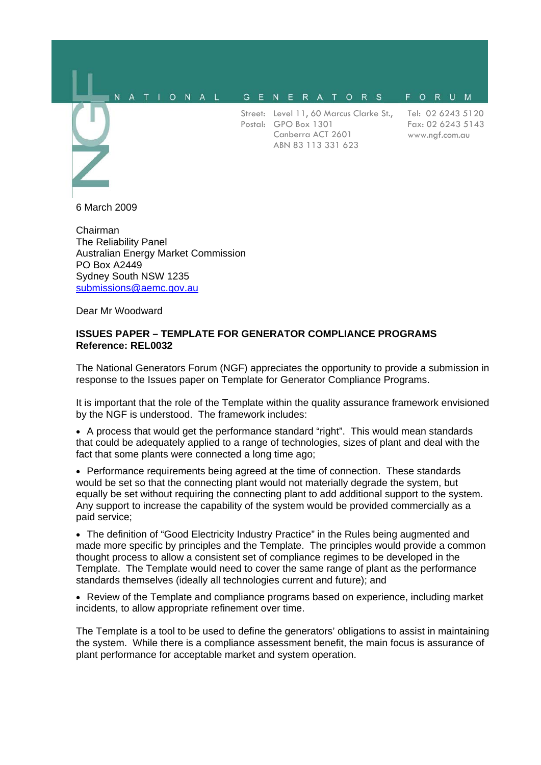#### NATIONAL GENERATORS FORUM

Street: Level 11, 60 Marcus Clarke St., Postal: GPO Box 1301 Canberra ACT 2601 ABN 83 113 331 623

Tel: 02 6243 5120 Fax: 02 6243 5143 www.ngf.com.au

6 March 2009

Chairman The Reliability Panel Australian Energy Market Commission PO Box A2449 Sydney South NSW 1235 submissions@aemc.gov.au

Dear Mr Woodward

#### **ISSUES PAPER – TEMPLATE FOR GENERATOR COMPLIANCE PROGRAMS Reference: REL0032**

The National Generators Forum (NGF) appreciates the opportunity to provide a submission in response to the Issues paper on Template for Generator Compliance Programs.

It is important that the role of the Template within the quality assurance framework envisioned by the NGF is understood. The framework includes:

• A process that would get the performance standard "right". This would mean standards that could be adequately applied to a range of technologies, sizes of plant and deal with the fact that some plants were connected a long time ago;

• Performance requirements being agreed at the time of connection. These standards would be set so that the connecting plant would not materially degrade the system, but equally be set without requiring the connecting plant to add additional support to the system. Any support to increase the capability of the system would be provided commercially as a paid service;

• The definition of "Good Electricity Industry Practice" in the Rules being augmented and made more specific by principles and the Template. The principles would provide a common thought process to allow a consistent set of compliance regimes to be developed in the Template. The Template would need to cover the same range of plant as the performance standards themselves (ideally all technologies current and future); and

• Review of the Template and compliance programs based on experience, including market incidents, to allow appropriate refinement over time.

The Template is a tool to be used to define the generators' obligations to assist in maintaining the system. While there is a compliance assessment benefit, the main focus is assurance of plant performance for acceptable market and system operation.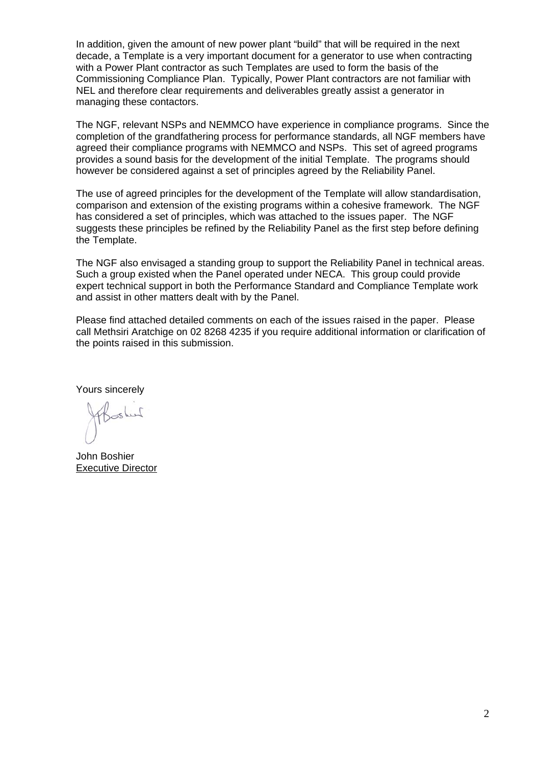In addition, given the amount of new power plant "build" that will be required in the next decade, a Template is a very important document for a generator to use when contracting with a Power Plant contractor as such Templates are used to form the basis of the Commissioning Compliance Plan. Typically, Power Plant contractors are not familiar with NEL and therefore clear requirements and deliverables greatly assist a generator in managing these contactors.

The NGF, relevant NSPs and NEMMCO have experience in compliance programs. Since the completion of the grandfathering process for performance standards, all NGF members have agreed their compliance programs with NEMMCO and NSPs. This set of agreed programs provides a sound basis for the development of the initial Template. The programs should however be considered against a set of principles agreed by the Reliability Panel.

The use of agreed principles for the development of the Template will allow standardisation, comparison and extension of the existing programs within a cohesive framework. The NGF has considered a set of principles, which was attached to the issues paper. The NGF suggests these principles be refined by the Reliability Panel as the first step before defining the Template.

The NGF also envisaged a standing group to support the Reliability Panel in technical areas. Such a group existed when the Panel operated under NECA. This group could provide expert technical support in both the Performance Standard and Compliance Template work and assist in other matters dealt with by the Panel.

Please find attached detailed comments on each of the issues raised in the paper. Please call Methsiri Aratchige on 02 8268 4235 if you require additional information or clarification of the points raised in this submission.

Yours sincerely

John Boshier Executive Director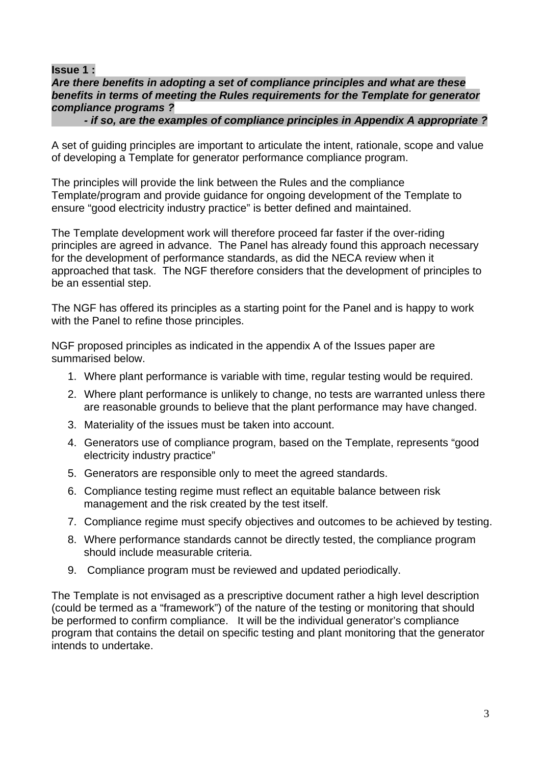**Issue 1 :** 

## *Are there benefits in adopting a set of compliance principles and what are these benefits in terms of meeting the Rules requirements for the Template for generator compliance programs ?*

 *- if so, are the examples of compliance principles in Appendix A appropriate ?* 

A set of guiding principles are important to articulate the intent, rationale, scope and value of developing a Template for generator performance compliance program.

The principles will provide the link between the Rules and the compliance Template/program and provide guidance for ongoing development of the Template to ensure "good electricity industry practice" is better defined and maintained.

The Template development work will therefore proceed far faster if the over-riding principles are agreed in advance. The Panel has already found this approach necessary for the development of performance standards, as did the NECA review when it approached that task. The NGF therefore considers that the development of principles to be an essential step.

The NGF has offered its principles as a starting point for the Panel and is happy to work with the Panel to refine those principles.

NGF proposed principles as indicated in the appendix A of the Issues paper are summarised below.

- 1. Where plant performance is variable with time, regular testing would be required.
- 2. Where plant performance is unlikely to change, no tests are warranted unless there are reasonable grounds to believe that the plant performance may have changed.
- 3. Materiality of the issues must be taken into account.
- 4. Generators use of compliance program, based on the Template, represents "good electricity industry practice"
- 5. Generators are responsible only to meet the agreed standards.
- 6. Compliance testing regime must reflect an equitable balance between risk management and the risk created by the test itself.
- 7. Compliance regime must specify objectives and outcomes to be achieved by testing.
- 8. Where performance standards cannot be directly tested, the compliance program should include measurable criteria.
- 9. Compliance program must be reviewed and updated periodically.

The Template is not envisaged as a prescriptive document rather a high level description (could be termed as a "framework") of the nature of the testing or monitoring that should be performed to confirm compliance. It will be the individual generator's compliance program that contains the detail on specific testing and plant monitoring that the generator intends to undertake.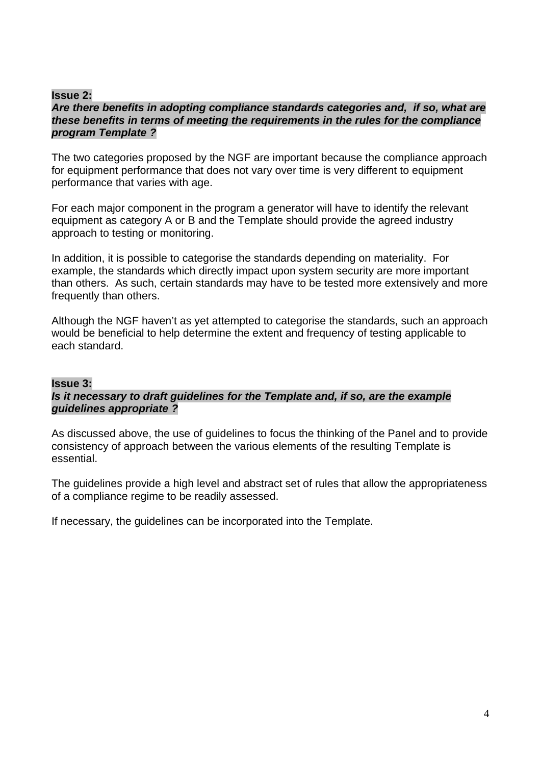## **Issue 2:**

## *Are there benefits in adopting compliance standards categories and, if so, what are these benefits in terms of meeting the requirements in the rules for the compliance program Template ?*

The two categories proposed by the NGF are important because the compliance approach for equipment performance that does not vary over time is very different to equipment performance that varies with age.

For each major component in the program a generator will have to identify the relevant equipment as category A or B and the Template should provide the agreed industry approach to testing or monitoring.

In addition, it is possible to categorise the standards depending on materiality. For example, the standards which directly impact upon system security are more important than others. As such, certain standards may have to be tested more extensively and more frequently than others.

Although the NGF haven't as yet attempted to categorise the standards, such an approach would be beneficial to help determine the extent and frequency of testing applicable to each standard.

## **Issue 3:**

## *Is it necessary to draft guidelines for the Template and, if so, are the example guidelines appropriate ?*

As discussed above, the use of guidelines to focus the thinking of the Panel and to provide consistency of approach between the various elements of the resulting Template is essential.

The guidelines provide a high level and abstract set of rules that allow the appropriateness of a compliance regime to be readily assessed.

If necessary, the guidelines can be incorporated into the Template.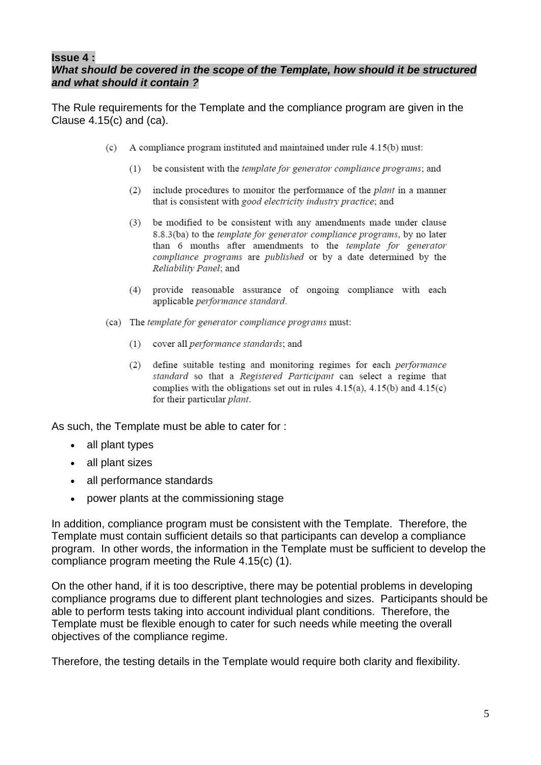## **Issue 4 :**

## *What should be covered in the scope of the Template, how should it be structured and what should it contain ?*

The Rule requirements for the Template and the compliance program are given in the Clause 4.15(c) and (ca).

- A compliance program instituted and maintained under rule 4.15(b) must:  $(c)$ 
	- be consistent with the template for generator compliance programs; and  $(1)$
	- $(2)$  include procedures to monitor the performance of the *plant* in a manner that is consistent with good electricity industry practice; and
	- $(3)$ be modified to be consistent with any amendments made under clause 8.8.3(ba) to the template for generator compliance programs, by no later than 6 months after amendments to the *template for generator* compliance programs are published or by a date determined by the Reliability Panel; and
	- (4) provide reasonable assurance of ongoing compliance with each applicable performance standard.
- (ca) The template for generator compliance programs must:
	- (1) cover all *performance standards*; and
	- (2) define suitable testing and monitoring regimes for each *performance* standard so that a Registered Participant can select a regime that complies with the obligations set out in rules  $4.15(a)$ ,  $4.15(b)$  and  $4.15(c)$ for their particular plant.

As such, the Template must be able to cater for :

- all plant types
- all plant sizes
- all performance standards
- power plants at the commissioning stage

In addition, compliance program must be consistent with the Template. Therefore, the Template must contain sufficient details so that participants can develop a compliance program. In other words, the information in the Template must be sufficient to develop the compliance program meeting the Rule 4.15(c) (1).

On the other hand, if it is too descriptive, there may be potential problems in developing compliance programs due to different plant technologies and sizes. Participants should be able to perform tests taking into account individual plant conditions. Therefore, the Template must be flexible enough to cater for such needs while meeting the overall objectives of the compliance regime.

Therefore, the testing details in the Template would require both clarity and flexibility.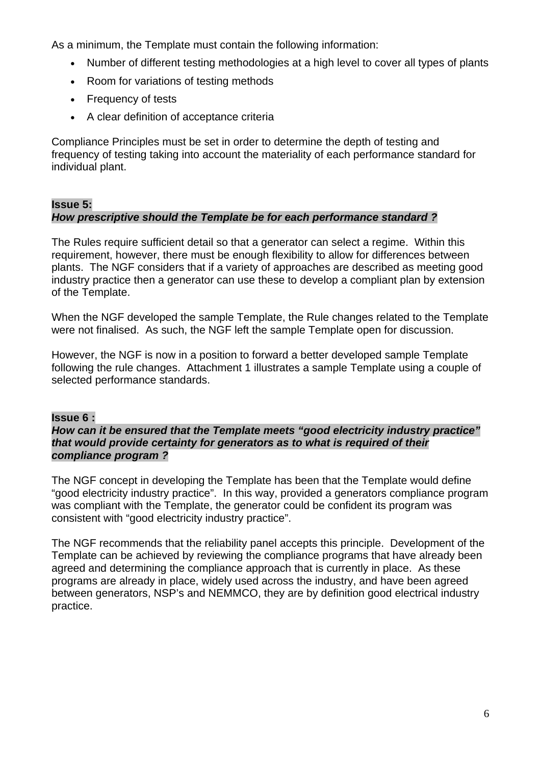As a minimum, the Template must contain the following information:

- Number of different testing methodologies at a high level to cover all types of plants
- Room for variations of testing methods
- Frequency of tests
- A clear definition of acceptance criteria

Compliance Principles must be set in order to determine the depth of testing and frequency of testing taking into account the materiality of each performance standard for individual plant.

## **Issue 5:**  *How prescriptive should the Template be for each performance standard ?*

The Rules require sufficient detail so that a generator can select a regime. Within this requirement, however, there must be enough flexibility to allow for differences between plants. The NGF considers that if a variety of approaches are described as meeting good industry practice then a generator can use these to develop a compliant plan by extension of the Template.

When the NGF developed the sample Template, the Rule changes related to the Template were not finalised. As such, the NGF left the sample Template open for discussion.

However, the NGF is now in a position to forward a better developed sample Template following the rule changes. Attachment 1 illustrates a sample Template using a couple of selected performance standards.

## **Issue 6 :**

#### *How can it be ensured that the Template meets "good electricity industry practice" that would provide certainty for generators as to what is required of their compliance program ?*

The NGF concept in developing the Template has been that the Template would define "good electricity industry practice". In this way, provided a generators compliance program was compliant with the Template, the generator could be confident its program was consistent with "good electricity industry practice".

The NGF recommends that the reliability panel accepts this principle. Development of the Template can be achieved by reviewing the compliance programs that have already been agreed and determining the compliance approach that is currently in place. As these programs are already in place, widely used across the industry, and have been agreed between generators, NSP's and NEMMCO, they are by definition good electrical industry practice.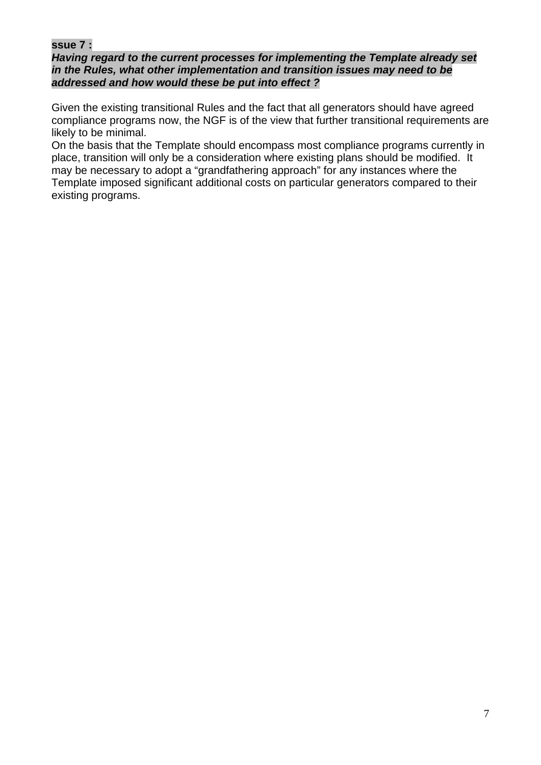## **ssue 7 :**

### *Having regard to the current processes for implementing the Template already set in the Rules, what other implementation and transition issues may need to be addressed and how would these be put into effect ?*

Given the existing transitional Rules and the fact that all generators should have agreed compliance programs now, the NGF is of the view that further transitional requirements are likely to be minimal.

On the basis that the Template should encompass most compliance programs currently in place, transition will only be a consideration where existing plans should be modified. It may be necessary to adopt a "grandfathering approach" for any instances where the Template imposed significant additional costs on particular generators compared to their existing programs.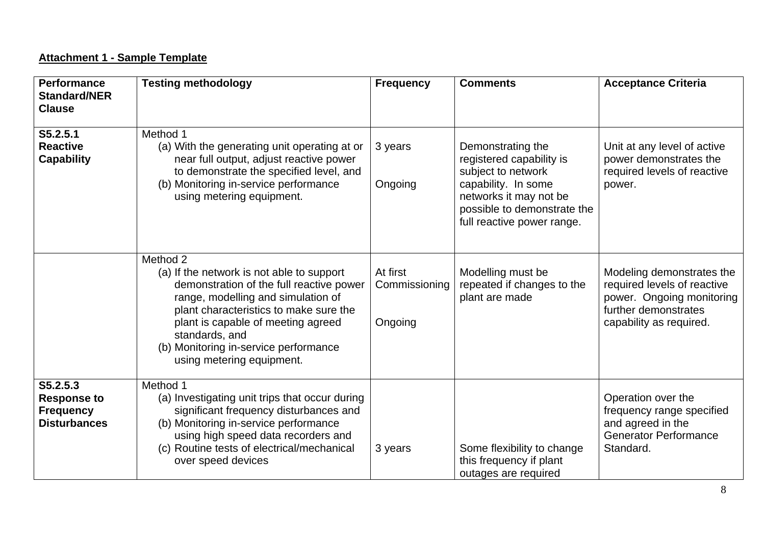# **Attachment 1 - Sample Template**

| <b>Performance</b><br><b>Standard/NER</b><br><b>Clause</b>                | <b>Testing methodology</b>                                                                                                                                                                                                                                                                                      | <b>Frequency</b>                     | <b>Comments</b>                                                                                                                                     | <b>Acceptance Criteria</b>                                                                                                               |
|---------------------------------------------------------------------------|-----------------------------------------------------------------------------------------------------------------------------------------------------------------------------------------------------------------------------------------------------------------------------------------------------------------|--------------------------------------|-----------------------------------------------------------------------------------------------------------------------------------------------------|------------------------------------------------------------------------------------------------------------------------------------------|
| S5.2.5.1<br><b>Reactive</b><br><b>Capability</b>                          | Method 1<br>(a) With the generating unit operating at or<br>near full output, adjust reactive power<br>to demonstrate the specified level, and<br>(b) Monitoring in-service performance<br>using metering equipment.                                                                                            | 3 years<br>Ongoing                   | Demonstrating the<br>registered capability is<br>subject to network<br>capability. In some<br>networks it may not be<br>possible to demonstrate the | Unit at any level of active<br>power demonstrates the<br>required levels of reactive<br>power.                                           |
|                                                                           |                                                                                                                                                                                                                                                                                                                 |                                      | full reactive power range.                                                                                                                          |                                                                                                                                          |
|                                                                           | Method 2<br>(a) If the network is not able to support<br>demonstration of the full reactive power<br>range, modelling and simulation of<br>plant characteristics to make sure the<br>plant is capable of meeting agreed<br>standards, and<br>(b) Monitoring in-service performance<br>using metering equipment. | At first<br>Commissioning<br>Ongoing | Modelling must be<br>repeated if changes to the<br>plant are made                                                                                   | Modeling demonstrates the<br>required levels of reactive<br>power. Ongoing monitoring<br>further demonstrates<br>capability as required. |
| S5.2.5.3<br><b>Response to</b><br><b>Frequency</b><br><b>Disturbances</b> | Method 1<br>(a) Investigating unit trips that occur during<br>significant frequency disturbances and<br>(b) Monitoring in-service performance<br>using high speed data recorders and<br>(c) Routine tests of electrical/mechanical<br>over speed devices                                                        | 3 years                              | Some flexibility to change<br>this frequency if plant<br>outages are required                                                                       | Operation over the<br>frequency range specified<br>and agreed in the<br><b>Generator Performance</b><br>Standard.                        |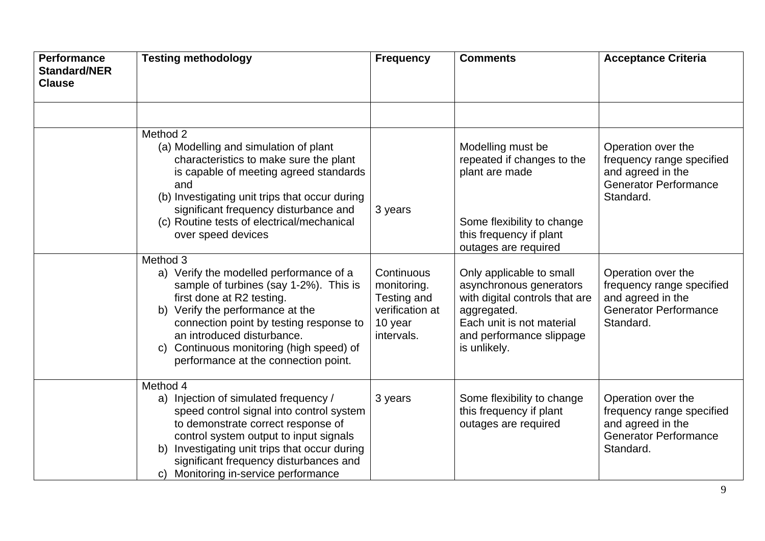| <b>Performance</b><br><b>Standard/NER</b><br><b>Clause</b> | <b>Testing methodology</b>                                                                                                                                                                                                                                                                                              | <b>Frequency</b>                                                                     | <b>Comments</b>                                                                                                                                                               | <b>Acceptance Criteria</b>                                                                                        |
|------------------------------------------------------------|-------------------------------------------------------------------------------------------------------------------------------------------------------------------------------------------------------------------------------------------------------------------------------------------------------------------------|--------------------------------------------------------------------------------------|-------------------------------------------------------------------------------------------------------------------------------------------------------------------------------|-------------------------------------------------------------------------------------------------------------------|
|                                                            | Method 2<br>(a) Modelling and simulation of plant<br>characteristics to make sure the plant<br>is capable of meeting agreed standards<br>and<br>(b) Investigating unit trips that occur during<br>significant frequency disturbance and<br>(c) Routine tests of electrical/mechanical<br>over speed devices<br>Method 3 | 3 years                                                                              | Modelling must be<br>repeated if changes to the<br>plant are made<br>Some flexibility to change<br>this frequency if plant<br>outages are required                            | Operation over the<br>frequency range specified<br>and agreed in the<br><b>Generator Performance</b><br>Standard. |
|                                                            | a) Verify the modelled performance of a<br>sample of turbines (say 1-2%). This is<br>first done at R2 testing.<br>b) Verify the performance at the<br>connection point by testing response to<br>an introduced disturbance.<br>c) Continuous monitoring (high speed) of<br>performance at the connection point.         | Continuous<br>monitoring.<br>Testing and<br>verification at<br>10 year<br>intervals. | Only applicable to small<br>asynchronous generators<br>with digital controls that are<br>aggregated.<br>Each unit is not material<br>and performance slippage<br>is unlikely. | Operation over the<br>frequency range specified<br>and agreed in the<br><b>Generator Performance</b><br>Standard. |
|                                                            | Method 4<br>a) Injection of simulated frequency /<br>speed control signal into control system<br>to demonstrate correct response of<br>control system output to input signals<br>Investigating unit trips that occur during<br>b)<br>significant frequency disturbances and<br>c) Monitoring in-service performance     | 3 years                                                                              | Some flexibility to change<br>this frequency if plant<br>outages are required                                                                                                 | Operation over the<br>frequency range specified<br>and agreed in the<br><b>Generator Performance</b><br>Standard. |